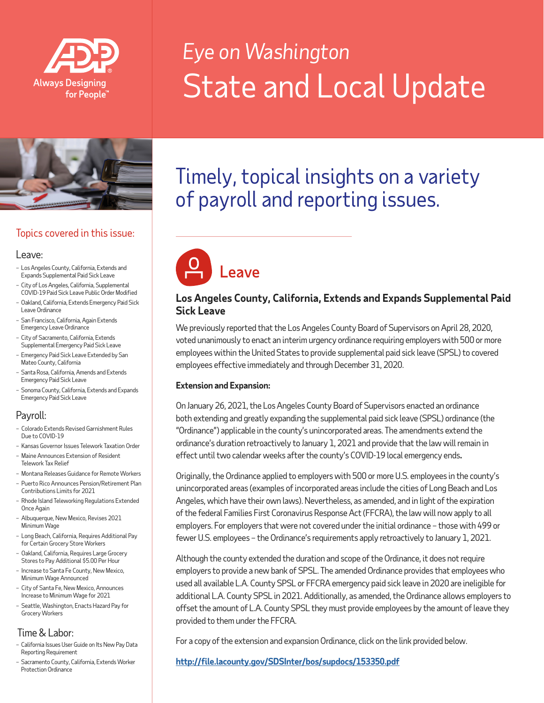

# *Eye on Washington* State and Local Update



# Topics covered in this issue:

#### Leave:

- Los Angeles County, California, Extends and Expands Supplemental Paid Sick Leave
- City of Los Angeles, California, Supplemental COVID-19 Paid Sick Leave Public Order Modified
- Oakland, California, Extends Emergency Paid Sick Leave Ordinance
- San Francisco, California, Again Extends Emergency Leave Ordinance
- City of Sacramento, California, Extends Supplemental Emergency Paid Sick Leave
- Emergency Paid Sick Leave Extended by San Mateo County, California
- Santa Rosa, California, Amends and Extends Emergency Paid Sick Leave
- Sonoma County, California, Extends and Expands Emergency Paid Sick Leave

# Payroll:

- Colorado Extends Revised Garnishment Rules Due to COVID-19
- Kansas Governor Issues Telework Taxation Order
- Maine Announces Extension of Resident Telework Tax Relief
- Montana Releases Guidance for Remote Workers
- Puerto Rico Announces Pension/Retirement Plan Contributions Limits for 2021
- Rhode Island Teleworking Regulations Extended Once Again
- Albuquerque, New Mexico, Revises 2021 Minimum Wage
- Long Beach, California, Requires Additional Pay for Certain Grocery Store Workers
- Oakland, California, Requires Large Grocery Stores to Pay Additional \$5.00 Per Hour
- Increase to Santa Fe County, New Mexico, Minimum Wage Announced
- City of Santa Fe, New Mexico, Announces Increase to Minimum Wage for 2021
- Seattle, Washington, Enacts Hazard Pay for Grocery Workers

# Time & Labor:

- California Issues User Guide on Its New Pay Data Reporting Requirement
- Sacramento County, California, Extends Worker Protection Ordinance

# Timely, topical insights on a variety of payroll and reporting issues.



# **Los Angeles County, California, Extends and Expands Supplemental Paid Sick Leave**

We previously reported that the Los Angeles County Board of Supervisors on April 28, 2020, voted unanimously to enact an interim urgency ordinance requiring employers with 500 or more employees within the United States to provide supplemental paid sick leave (SPSL) to covered employees effective immediately and through December 31, 2020.

#### **Extension and Expansion:**

On January 26, 2021, the Los Angeles County Board of Supervisors enacted an ordinance both extending and greatly expanding the supplemental paid sick leave (SPSL) ordinance (the "Ordinance") applicable in the county's unincorporated areas. The amendments extend the ordinance's duration retroactively to January 1, 2021 and provide that the law will remain in effect until two calendar weeks after the county's COVID-19 local emergency ends**.**

Originally, the Ordinance applied to employers with 500 or more U.S. employees in the county's unincorporated areas (examples of incorporated areas include the cities of Long Beach and Los Angeles, which have their own laws). Nevertheless, as amended, and in light of the expiration of the federal Families First Coronavirus Response Act (FFCRA), the law will now apply to all employers. For employers that were not covered under the initial ordinance – those with 499 or fewer U.S. employees – the Ordinance's requirements apply retroactively to January 1, 2021.

Although the county extended the duration and scope of the Ordinance, it does not require employers to provide a new bank of SPSL. The amended Ordinance provides that employees who used all available L.A. County SPSL or FFCRA emergency paid sick leave in 2020 are ineligible for additional L.A. County SPSL in 2021. Additionally, as amended, the Ordinance allows employers to offset the amount of L.A. County SPSL they must provide employees by the amount of leave they provided to them under the FFCRA.

For a copy of the extension and expansion Ordinance, click on the link provided below.

**<http://file.lacounty.gov/SDSInter/bos/supdocs/153350.pdf>**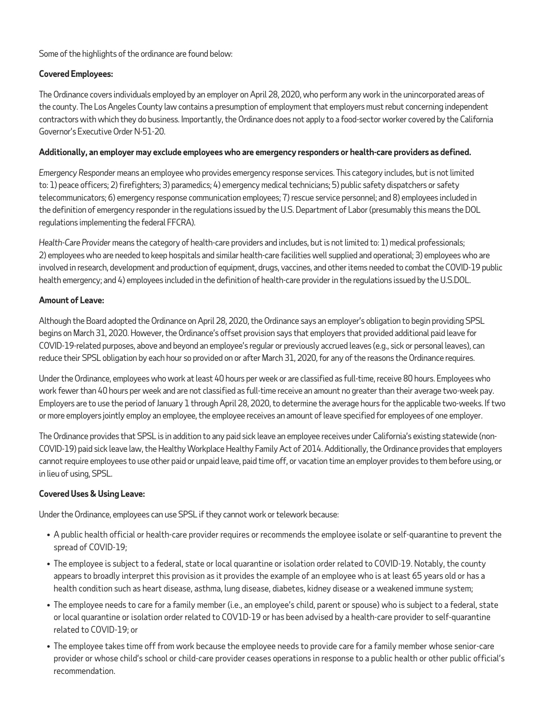Some of the highlights of the ordinance are found below:

#### **Covered Employees:**

The Ordinance covers individuals employed by an employer on April 28, 2020, who perform any work in the unincorporated areas of the county. The Los Angeles County law contains a presumption of employment that employers must rebut concerning independent contractors with which they do business. Importantly, the Ordinance does not apply to a food-sector worker covered by the California Governor's Executive Order N-51-20.

#### **Additionally, an employer may exclude employees who are emergency responders or health-care providers as defined.**

*Emergency Responder* means an employee who provides emergency response services. This category includes, but is not limited to: 1) peace officers; 2) firefighters; 3) paramedics; 4) emergency medical technicians; 5) public safety dispatchers or safety telecommunicators; 6) emergency response communication employees; 7) rescue service personnel; and 8) employees included in the definition of emergency responder in the regulations issued by the U.S. Department of Labor (presumably this means the DOL regulations implementing the federal FFCRA).

*Health-Care Provider* means the category of health-care providers and includes, but is not limited to: 1) medical professionals; 2) employees who are needed to keep hospitals and similar health-care facilities well supplied and operational; 3) employees who are involved in research, development and production of equipment, drugs, vaccines, and other items needed to combat the COVID-19 public health emergency; and 4) employees included in the definition of health-care provider in the regulations issued by the U.S.DOL.

#### **Amount of Leave:**

Although the Board adopted the Ordinance on April 28, 2020, the Ordinance says an employer's obligation to begin providing SPSL begins on March 31, 2020. However, the Ordinance's offset provision says that employers that provided additional paid leave for COVID-19-related purposes, above and beyond an employee's regular or previously accrued leaves (e.g., sick or personal leaves), can reduce their SPSL obligation by each hour so provided on or after March 31, 2020, for any of the reasons the Ordinance requires.

Under the Ordinance, employees who work at least 40 hours per week or are classified as full-time, receive 80 hours. Employees who work fewer than 40 hours per week and are not classified as full-time receive an amount no greater than their average two-week pay. Employers are to use the period of January 1 through April 28, 2020, to determine the average hours for the applicable two-weeks. If two or more employers jointly employ an employee, the employee receives an amount of leave specified for employees of one employer.

The Ordinance provides that SPSL is in addition to any paid sick leave an employee receives under California's existing statewide (non-COVID-19) paid sick leave law, the Healthy Workplace Healthy Family Act of 2014. Additionally, the Ordinance provides that employers cannot require employees to use other paid or unpaid leave, paid time off, or vacation time an employer provides to them before using, or in lieu of using, SPSL.

#### **Covered Uses & Using Leave:**

Under the Ordinance, employees can use SPSL if they cannot work or telework because:

- A public health official or health-care provider requires or recommends the employee isolate or self-quarantine to prevent the spread of COVID-19;
- The employee is subject to a federal, state or local quarantine or isolation order related to COVID-19. Notably, the county appears to broadly interpret this provision as it provides the example of an employee who is at least 65 years old or has a health condition such as heart disease, asthma, lung disease, diabetes, kidney disease or a weakened immune system;
- The employee needs to care for a family member (i.e., an employee's child, parent or spouse) who is subject to a federal, state or local quarantine or isolation order related to COV1D-19 or has been advised by a health-care provider to self-quarantine related to COVID-19; or
- The employee takes time off from work because the employee needs to provide care for a family member whose senior-care provider or whose child's school or child-care provider ceases operations in response to a public health or other public official's recommendation.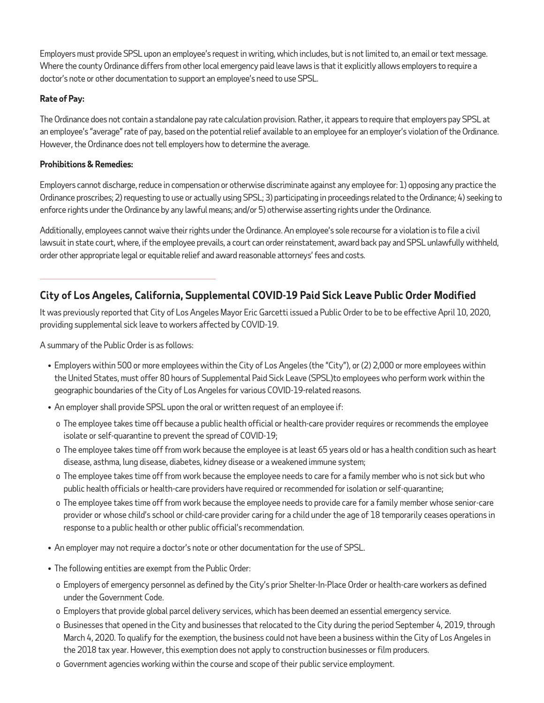Employers must provide SPSL upon an employee's request in writing, which includes, but is not limited to, an email or text message. Where the county Ordinance differs from other local emergency paid leave laws is that it explicitly allows employers to require a doctor's note or other documentation to support an employee's need to use SPSL.

#### **Rate of Pay:**

The Ordinance does not contain a standalone pay rate calculation provision. Rather, it appears to require that employers pay SPSL at an employee's "average" rate of pay, based on the potential relief available to an employee for an employer's violation of the Ordinance. However, the Ordinance does not tell employers how to determine the average.

#### **Prohibitions & Remedies:**

Employers cannot discharge, reduce in compensation or otherwise discriminate against any employee for: 1) opposing any practice the Ordinance proscribes; 2) requesting to use or actually using SPSL; 3) participating in proceedings related to the Ordinance; 4) seeking to enforce rights under the Ordinance by any lawful means; and/or 5) otherwise asserting rights under the Ordinance.

Additionally, employees cannot waive their rights under the Ordinance. An employee's sole recourse for a violation is to file a civil lawsuit in state court, where, if the employee prevails, a court can order reinstatement, award back pay and SPSL unlawfully withheld, order other appropriate legal or equitable relief and award reasonable attorneys' fees and costs.

# **City of Los Angeles, California, Supplemental COVID-19 Paid Sick Leave Public Order Modified**

It was previously reported that City of Los Angeles Mayor Eric Garcetti issued a Public Order to be to be effective April 10, 2020, providing supplemental sick leave to workers affected by COVID-19.

A summary of the Public Order is as follows:

- Employers within 500 or more employees within the City of Los Angeles (the "City"), or (2) 2,000 or more employees within the United States, must offer 80 hours of Supplemental Paid Sick Leave (SPSL)to employees who perform work within the geographic boundaries of the City of Los Angeles for various COVID-19-related reasons.
- An employer shall provide SPSL upon the oral or written request of an employee if:
	- o The employee takes time off because a public health official or health-care provider requires or recommends the employee isolate or self-quarantine to prevent the spread of COVID-19;
	- o The employee takes time off from work because the employee is at least 65 years old or has a health condition such as heart disease, asthma, lung disease, diabetes, kidney disease or a weakened immune system;
	- o The employee takes time off from work because the employee needs to care for a family member who is not sick but who public health officials or health-care providers have required or recommended for isolation or self-quarantine;
	- o The employee takes time off from work because the employee needs to provide care for a family member whose senior-care provider or whose child's school or child-care provider caring for a child under the age of 18 temporarily ceases operations in response to a public health or other public official's recommendation.
- An employer may not require a doctor's note or other documentation for the use of SPSL.
- The following entities are exempt from the Public Order:
	- o Employers of emergency personnel as defined by the City's prior Shelter-In-Place Order or health-care workers as defined under the Government Code.
	- o Employers that provide global parcel delivery services, which has been deemed an essential emergency service.
	- o Businesses that opened in the City and businesses that relocated to the City during the period September 4, 2019, through March 4, 2020. To qualify for the exemption, the business could not have been a business within the City of Los Angeles in the 2018 tax year. However, this exemption does not apply to construction businesses or film producers.
	- o Government agencies working within the course and scope of their public service employment.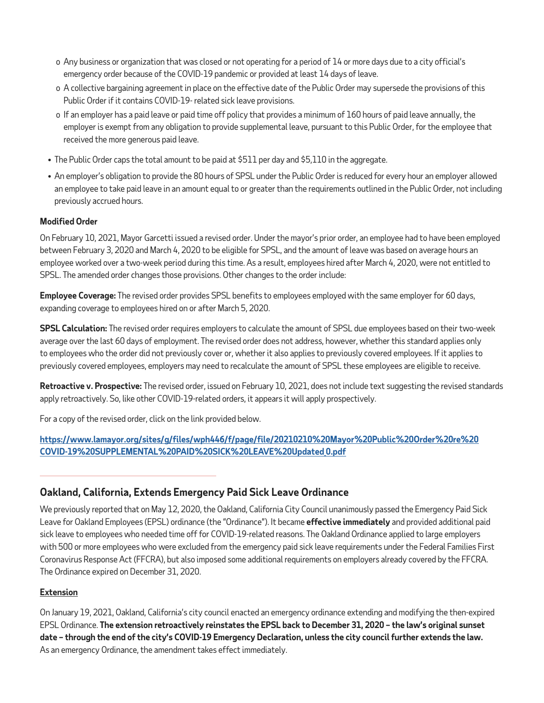- o Any business or organization that was closed or not operating for a period of 14 or more days due to a city official's emergency order because of the COVID-19 pandemic or provided at least 14 days of leave.
- o A collective bargaining agreement in place on the effective date of the Public Order may supersede the provisions of this Public Order if it contains COVID-19- related sick leave provisions.
- o If an employer has a paid leave or paid time off policy that provides a minimum of 160 hours of paid leave annually, the employer is exempt from any obligation to provide supplemental leave, pursuant to this Public Order, for the employee that received the more generous paid leave.
- The Public Order caps the total amount to be paid at \$511 per day and \$5,110 in the aggregate.
- An employer's obligation to provide the 80 hours of SPSL under the Public Order is reduced for every hour an employer allowed an employee to take paid leave in an amount equal to or greater than the requirements outlined in the Public Order, not including previously accrued hours.

#### **Modified Order**

On February 10, 2021, Mayor Garcetti issued a revised order. Under the mayor's prior order, an employee had to have been employed between February 3, 2020 and March 4, 2020 to be eligible for SPSL, and the amount of leave was based on average hours an employee worked over a two-week period during this time. As a result, employees hired after March 4, 2020, were not entitled to SPSL. The amended order changes those provisions. Other changes to the order include:

**Employee Coverage:** The revised order provides SPSL benefits to employees employed with the same employer for 60 days, expanding coverage to employees hired on or after March 5, 2020.

**SPSL Calculation:** The revised order requires employers to calculate the amount of SPSL due employees based on their two-week average over the last 60 days of employment. The revised order does not address, however, whether this standard applies only to employees who the order did not previously cover or, whether it also applies to previously covered employees. If it applies to previously covered employees, employers may need to recalculate the amount of SPSL these employees are eligible to receive.

**Retroactive v. Prospective:** The revised order, issued on February 10, 2021, does not include text suggesting the revised standards apply retroactively. So, like other COVID-19-related orders, it appears it will apply prospectively.

For a copy of the revised order, click on the link provided below.

#### **[https://www.lamayor.org/sites/g/files/wph446/f/page/file/20210210%20Mayor%20Public%20Order%20re%20](https://www.lamayor.org/sites/g/files/wph446/f/page/file/20210210%20Mayor%20Public%20Order%20re%20COVID-19%20SUPPLEMENTAL%20PAID%20SICK%20LEAVE%20Updated_0.pdf) [COVID-19%20SUPPLEMENTAL%20PAID%20SICK%20LEAVE%20Updated\\_0.pdf](https://www.lamayor.org/sites/g/files/wph446/f/page/file/20210210%20Mayor%20Public%20Order%20re%20COVID-19%20SUPPLEMENTAL%20PAID%20SICK%20LEAVE%20Updated_0.pdf)**

**Oakland, California, Extends Emergency Paid Sick Leave Ordinance** 

We previously reported that on May 12, 2020, the Oakland, California City Council unanimously passed the Emergency Paid Sick Leave for Oakland Employees (EPSL) ordinance (the "Ordinance"). It became **effective immediately** and provided additional paid sick leave to employees who needed time off for COVID-19-related reasons. The Oakland Ordinance applied to large employers with 500 or more employees who were excluded from the emergency paid sick leave requirements under the Federal Families First Coronavirus Response Act (FFCRA), but also imposed some additional requirements on employers already covered by the FFCRA. The Ordinance expired on December 31, 2020.

#### **Extension**

On January 19, 2021, Oakland, California's city council enacted an emergency ordinance extending and modifying the then-expired EPSL Ordinance. **The extension retroactively reinstates the EPSL back to December 31, 2020 – the law's original sunset date – through the end of the city's COVID-19 Emergency Declaration, unless the city council further extends the law.**  As an emergency Ordinance, the amendment takes effect immediately.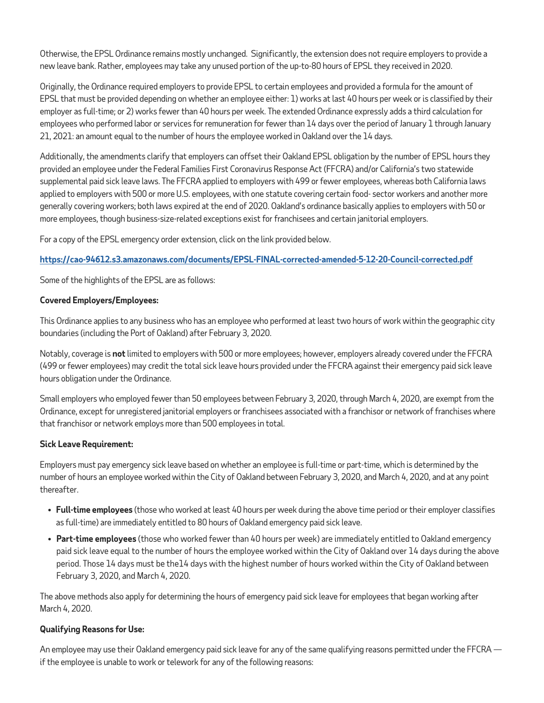Otherwise, the EPSL Ordinance remains mostly unchanged. Significantly, the extension does not require employers to provide a new leave bank. Rather, employees may take any unused portion of the up-to-80 hours of EPSL they received in 2020.

Originally, the Ordinance required employers to provide EPSL to certain employees and provided a formula for the amount of EPSL that must be provided depending on whether an employee either: 1) works at last 40 hours per week or is classified by their employer as full-time; or 2) works fewer than 40 hours per week. The extended Ordinance expressly adds a third calculation for employees who performed labor or services for remuneration for fewer than 14 days over the period of January 1 through January 21, 2021: an amount equal to the number of hours the employee worked in Oakland over the 14 days.

Additionally, the amendments clarify that employers can offset their Oakland EPSL obligation by the number of EPSL hours they provided an employee under the Federal Families First Coronavirus Response Act (FFCRA) and/or California's two statewide supplemental paid sick leave laws. The FFCRA applied to employers with 499 or fewer employees, whereas both California laws applied to employers with 500 or more U.S. employees, with one statute covering certain food- sector workers and another more generally covering workers; both laws expired at the end of 2020. Oakland's ordinance basically applies to employers with 50 or more employees, though business-size-related exceptions exist for franchisees and certain janitorial employers.

For a copy of the EPSL emergency order extension, click on the link provided below.

#### **<https://cao-94612.s3.amazonaws.com/documents/EPSL-FINAL-corrected-amended-5-12-20-Council-corrected.pdf>**

Some of the highlights of the EPSL are as follows:

#### **Covered Employers/Employees:**

This Ordinance applies to any business who has an employee who performed at least two hours of work within the geographic city boundaries (including the Port of Oakland) after February 3, 2020.

Notably, coverage is **not** limited to employers with 500 or more employees; however, employers already covered under the FFCRA (499 or fewer employees) may credit the total sick leave hours provided under the FFCRA against their emergency paid sick leave hours obligation under the Ordinance.

Small employers who employed fewer than 50 employees between February 3, 2020, through March 4, 2020, are exempt from the Ordinance, except for unregistered janitorial employers or franchisees associated with a franchisor or network of franchises where that franchisor or network employs more than 500 employees in total.

#### **Sick Leave Requirement:**

Employers must pay emergency sick leave based on whether an employee is full-time or part-time, which is determined by the number of hours an employee worked within the City of Oakland between February 3, 2020, and March 4, 2020, and at any point thereafter.

- **Full-time employees** (those who worked at least 40 hours per week during the above time period or their employer classifies as full-time) are immediately entitled to 80 hours of Oakland emergency paid sick leave.
- **Part-time employees** (those who worked fewer than 40 hours per week) are immediately entitled to Oakland emergency paid sick leave equal to the number of hours the employee worked within the City of Oakland over 14 days during the above period. Those 14 days must be the14 days with the highest number of hours worked within the City of Oakland between February 3, 2020, and March 4, 2020.

The above methods also apply for determining the hours of emergency paid sick leave for employees that began working after March 4, 2020.

#### **Qualifying Reasons for Use:**

An employee may use their Oakland emergency paid sick leave for any of the same qualifying reasons permitted under the FFCRA if the employee is unable to work or telework for any of the following reasons: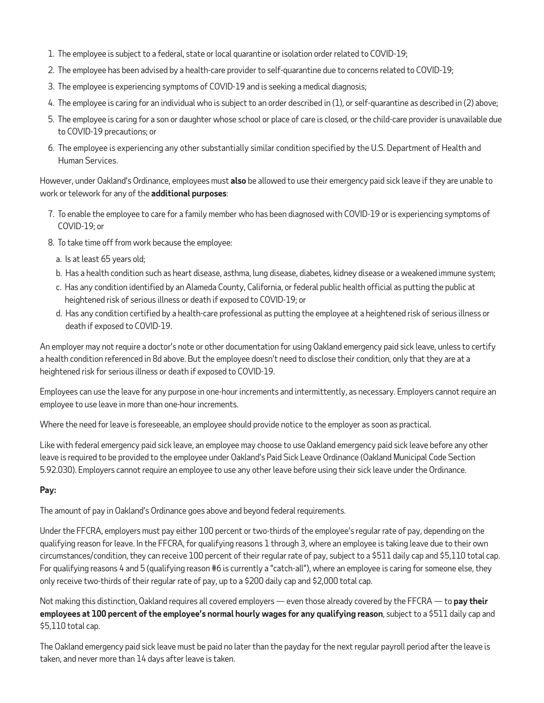- 1. The employee is subject to a federal, state or local quarantine or isolation order related to COVID-19;
- 2. The employee has been advised by a health-care provider to self-quarantine due to concerns related to COVID-19;
- 3. The employee is experiencing symptoms of COVID-19 and is seeking a medical diagnosis;
- 4. The employee is caring for an individual who is subject to an order described in (1), or self-quarantine as described in (2) above;
- 5. The employee is caring for a son or daughter whose school or place of care is closed, or the child-care provider is unavailable due to COVID-19 precautions; or
- 6. The employee is experiencing any other substantially similar condition specified by the U.S. Department of Health and Human Services.

However, under Oakland's Ordinance, employees must **also** be allowed to use their emergency paid sick leave if they are unable to work or telework for any of the **additional purposes**:

- 7. To enable the employee to care for a family member who has been diagnosed with COVID-19 or is experiencing symptoms of COVID-19; or
- 8. To take time off from work because the employee:
	- a. Is at least 65 years old;
	- b. Has a health condition such as heart disease, asthma, lung disease, diabetes, kidney disease or a weakened immune system;
	- c. Has any condition identified by an Alameda County, California, or federal public health official as putting the public at heightened risk of serious illness or death if exposed to COVID-19; or
	- d. Has any condition certified by a health-care professional as putting the employee at a heightened risk of serious illness or death if exposed to COVID-19.

An employer may not require a doctor's note or other documentation for using Oakland emergency paid sick leave, unless to certify a health condition referenced in 8d above. But the employee doesn't need to disclose their condition, only that they are at a heightened risk for serious illness or death if exposed to COVID-19.

Employees can use the leave for any purpose in one-hour increments and intermittently, as necessary. Employers cannot require an employee to use leave in more than one-hour increments.

Where the need for leave is foreseeable, an employee should provide notice to the employer as soon as practical.

Like with federal emergency paid sick leave, an employee may choose to use Oakland emergency paid sick leave before any other leave is required to be provided to the employee under Oakland's Paid Sick Leave Ordinance (Oakland Municipal Code Section 5.92.030). Employers cannot require an employee to use any other leave before using their sick leave under the Ordinance.

#### **Pay:**

The amount of pay in Oakland's Ordinance goes above and beyond federal requirements.

Under the FFCRA, employers must pay either 100 percent or two-thirds of the employee's regular rate of pay, depending on the qualifying reason for leave. In the FFCRA, for qualifying reasons 1 through 3, where an employee is taking leave due to their own circumstances/condition, they can receive 100 percent of their regular rate of pay, subject to a \$511 daily cap and \$5,110 total cap. For qualifying reasons 4 and 5 (qualifying reason #6 is currently a "catch-all"), where an employee is caring for someone else, they only receive two-thirds of their regular rate of pay, up to a \$200 daily cap and \$2,000 total cap.

Not making this distinction, Oakland requires all covered employers — even those already covered by the FFCRA — to **pay their employees at 100 percent of the employee's normal hourly wages for any qualifying reason**, subject to a \$511 daily cap and \$5,110 total cap.

The Oakland emergency paid sick leave must be paid no later than the payday for the next regular payroll period after the leave is taken, and never more than 14 days after leave is taken.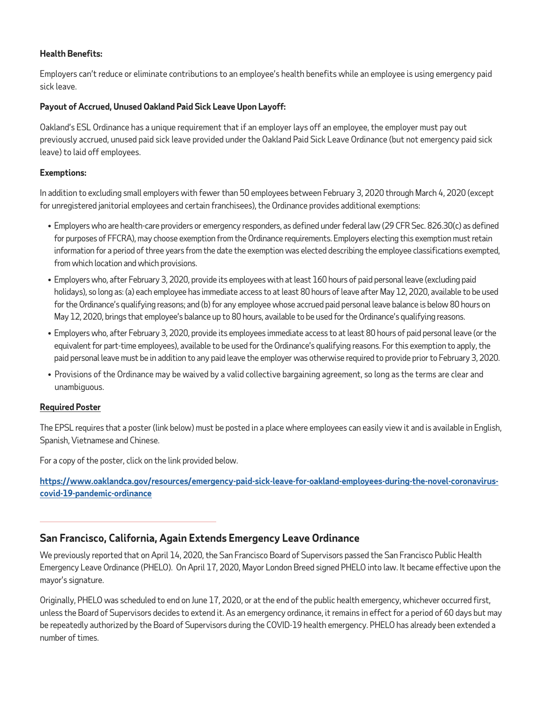#### **Health Benefits:**

Employers can't reduce or eliminate contributions to an employee's health benefits while an employee is using emergency paid sick leave.

#### **Payout of Accrued, Unused Oakland Paid Sick Leave Upon Layoff:**

Oakland's ESL Ordinance has a unique requirement that if an employer lays off an employee, the employer must pay out previously accrued, unused paid sick leave provided under the Oakland Paid Sick Leave Ordinance (but not emergency paid sick leave) to laid off employees.

#### **Exemptions:**

In addition to excluding small employers with fewer than 50 employees between February 3, 2020 through March 4, 2020 (except for unregistered janitorial employees and certain franchisees), the Ordinance provides additional exemptions:

- Employers who are health-care providers or emergency responders, as defined under federal law (29 CFR Sec. 826.30(c) as defined for purposes of FFCRA), may choose exemption from the Ordinance requirements. Employers electing this exemption must retain information for a period of three years from the date the exemption was elected describing the employee classifications exempted, from which location and which provisions.
- Employers who, after February 3, 2020, provide its employees with at least 160 hours of paid personal leave (excluding paid holidays), so long as: (a) each employee has immediate access to at least 80 hours of leave after May 12, 2020, available to be used for the Ordinance's qualifying reasons; and (b) for any employee whose accrued paid personal leave balance is below 80 hours on May 12, 2020, brings that employee's balance up to 80 hours, available to be used for the Ordinance's qualifying reasons.
- Employers who, after February 3, 2020, provide its employees immediate access to at least 80 hours of paid personal leave (or the equivalent for part-time employees), available to be used for the Ordinance's qualifying reasons. For this exemption to apply, the paid personal leave must be in addition to any paid leave the employer was otherwise required to provide prior to February 3, 2020.
- Provisions of the Ordinance may be waived by a valid collective bargaining agreement, so long as the terms are clear and unambiguous.

#### **Required Poster**

The EPSL requires that a poster (link below) must be posted in a place where employees can easily view it and is available in English, Spanish, Vietnamese and Chinese.

For a copy of the poster, click on the link provided below.

**[https://www.oaklandca.gov/resources/emergency-paid-sick-leave-for-oakland-employees-during-the-novel-coronavirus](https://www.oaklandca.gov/resources/emergency-paid-sick-leave-for-oakland-employees-during-the-novel-coronavirus-covid-19-pandemic-ordinance)[covid-19-pandemic-ordinance](https://www.oaklandca.gov/resources/emergency-paid-sick-leave-for-oakland-employees-during-the-novel-coronavirus-covid-19-pandemic-ordinance)**

# **San Francisco, California, Again Extends Emergency Leave Ordinance**

We previously reported that on April 14, 2020, the San Francisco Board of Supervisors passed the San Francisco Public Health Emergency Leave Ordinance (PHELO). On April 17, 2020, Mayor London Breed signed PHELO into law. It became effective upon the mayor's signature.

Originally, PHELO was scheduled to end on June 17, 2020, or at the end of the public health emergency, whichever occurred first, unless the Board of Supervisors decides to extend it. As an emergency ordinance, it remains in effect for a period of 60 days but may be repeatedly authorized by the Board of Supervisors during the COVID-19 health emergency. PHELO has already been extended a number of times.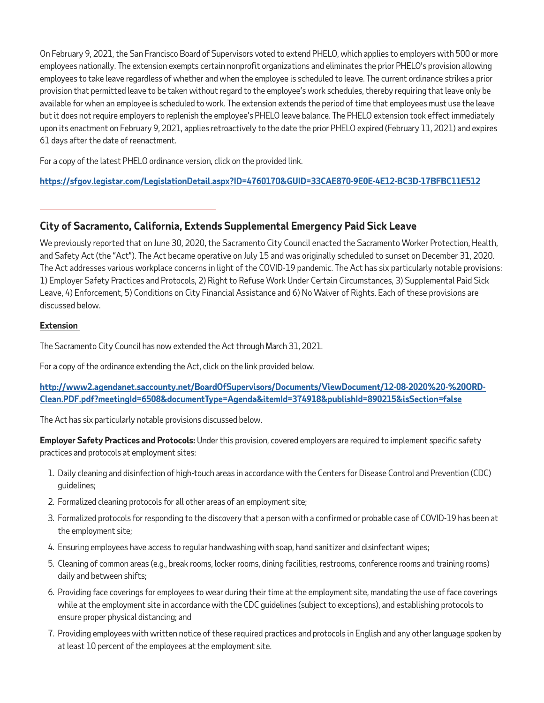On February 9, 2021, the San Francisco Board of Supervisors voted to extend PHELO, which applies to employers with 500 or more employees nationally. The extension exempts certain nonprofit organizations and eliminates the prior PHELO's provision allowing employees to take leave regardless of whether and when the employee is scheduled to leave. The current ordinance strikes a prior provision that permitted leave to be taken without regard to the employee's work schedules, thereby requiring that leave only be available for when an employee is scheduled to work. The extension extends the period of time that employees must use the leave but it does not require employers to replenish the employee's PHELO leave balance. The PHELO extension took effect immediately upon its enactment on February 9, 2021, applies retroactively to the date the prior PHELO expired (February 11, 2021) and expires 61 days after the date of reenactment.

For a copy of the latest PHELO ordinance version, click on the provided link.

**<https://sfgov.legistar.com/LegislationDetail.aspx?ID=4760170&GUID=33CAE870-9E0E-4E12-BC3D-17BFBC11E512>**

# **City of Sacramento, California, Extends Supplemental Emergency Paid Sick Leave**

We previously reported that on June 30, 2020, the Sacramento City Council enacted the Sacramento Worker Protection, Health, and Safety Act (the "Act"). The Act became operative on July 15 and was originally scheduled to sunset on December 31, 2020. The Act addresses various workplace concerns in light of the COVID-19 pandemic. The Act has six particularly notable provisions: 1) Employer Safety Practices and Protocols, 2) Right to Refuse Work Under Certain Circumstances, 3) Supplemental Paid Sick Leave, 4) Enforcement, 5) Conditions on City Financial Assistance and 6) No Waiver of Rights. Each of these provisions are discussed below.

#### **Extension**

The Sacramento City Council has now extended the Act through March 31, 2021.

For a copy of the ordinance extending the Act, click on the link provided below.

**[http://www2.agendanet.saccounty.net/BoardOfSupervisors/Documents/ViewDocument/12-08-2020%20-%20ORD-](http://www2.agendanet.saccounty.net/BoardOfSupervisors/Documents/ViewDocument/12-08-2020%20-%20ORD-Clean.PDF.pdf?meetingId=6508&documentType=Agenda&itemId=374918&publishId=890215&isSection=false)[Clean.PDF.pdf?meetingId=6508&documentType=Agenda&itemId=374918&publishId=890215&isSection=false](http://www2.agendanet.saccounty.net/BoardOfSupervisors/Documents/ViewDocument/12-08-2020%20-%20ORD-Clean.PDF.pdf?meetingId=6508&documentType=Agenda&itemId=374918&publishId=890215&isSection=false)**

The Act has six particularly notable provisions discussed below.

**Employer Safety Practices and Protocols:** Under this provision, covered employers are required to implement specific safety practices and protocols at employment sites:

- 1. Daily cleaning and disinfection of high-touch areas in accordance with the Centers for Disease Control and Prevention (CDC) guidelines;
- 2. Formalized cleaning protocols for all other areas of an employment site;
- 3. Formalized protocols for responding to the discovery that a person with a confirmed or probable case of COVID-19 has been at the employment site;
- 4. Ensuring employees have access to regular handwashing with soap, hand sanitizer and disinfectant wipes;
- 5. Cleaning of common areas (e.g., break rooms, locker rooms, dining facilities, restrooms, conference rooms and training rooms) daily and between shifts;
- 6. Providing face coverings for employees to wear during their time at the employment site, mandating the use of face coverings while at the employment site in accordance with the CDC guidelines (subject to exceptions), and establishing protocols to ensure proper physical distancing; and
- 7. Providing employees with written notice of these required practices and protocols in English and any other language spoken by at least 10 percent of the employees at the employment site.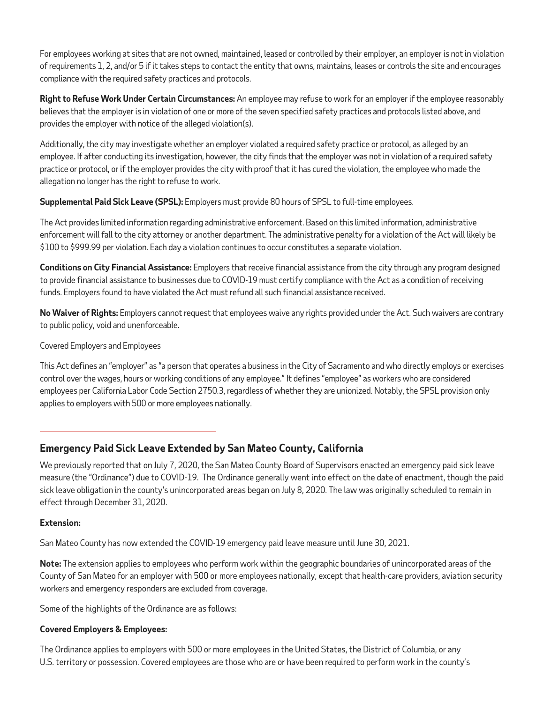For employees working at sites that are not owned, maintained, leased or controlled by their employer, an employer is not in violation of requirements 1, 2, and/or 5 if it takes steps to contact the entity that owns, maintains, leases or controls the site and encourages compliance with the required safety practices and protocols.

**Right to Refuse Work Under Certain Circumstances:** An employee may refuse to work for an employer if the employee reasonably believes that the employer is in violation of one or more of the seven specified safety practices and protocols listed above, and provides the employer with notice of the alleged violation(s).

Additionally, the city may investigate whether an employer violated a required safety practice or protocol, as alleged by an employee. If after conducting its investigation, however, the city finds that the employer was not in violation of a required safety practice or protocol, or if the employer provides the city with proof that it has cured the violation, the employee who made the allegation no longer has the right to refuse to work.

**Supplemental Paid Sick Leave (SPSL):** Employers must provide 80 hours of SPSL to full-time employees.

The Act provides limited information regarding administrative enforcement. Based on this limited information, administrative enforcement will fall to the city attorney or another department. The administrative penalty for a violation of the Act will likely be \$100 to \$999.99 per violation. Each day a violation continues to occur constitutes a separate violation.

**Conditions on City Financial Assistance:** Employers that receive financial assistance from the city through any program designed to provide financial assistance to businesses due to COVID-19 must certify compliance with the Act as a condition of receiving funds. Employers found to have violated the Act must refund all such financial assistance received.

**No Waiver of Rights:** Employers cannot request that employees waive any rights provided under the Act. Such waivers are contrary to public policy, void and unenforceable.

Covered Employers and Employees

This Act defines an "employer" as "a person that operates a business in the City of Sacramento and who directly employs or exercises control over the wages, hours or working conditions of any employee." It defines "employee" as workers who are considered employees per California Labor Code Section 2750.3, regardless of whether they are unionized. Notably, the SPSL provision only applies to employers with 500 or more employees nationally.

# **Emergency Paid Sick Leave Extended by San Mateo County, California**

We previously reported that on July 7, 2020, the San Mateo County Board of Supervisors enacted an emergency paid sick leave measure (the "Ordinance") due to COVID-19. The Ordinance generally went into effect on the date of enactment, though the paid sick leave obligation in the county's unincorporated areas began on July 8, 2020. The law was originally scheduled to remain in effect through December 31, 2020.

#### **Extension:**

San Mateo County has now extended the COVID-19 emergency paid leave measure until June 30, 2021.

**Note:** The extension applies to employees who perform work within the geographic boundaries of unincorporated areas of the County of San Mateo for an employer with 500 or more employees nationally, except that health-care providers, aviation security workers and emergency responders are excluded from coverage.

Some of the highlights of the Ordinance are as follows:

#### **Covered Employers & Employees:**

The Ordinance applies to employers with 500 or more employees in the United States, the District of Columbia, or any U.S. territory or possession. Covered employees are those who are or have been required to perform work in the county's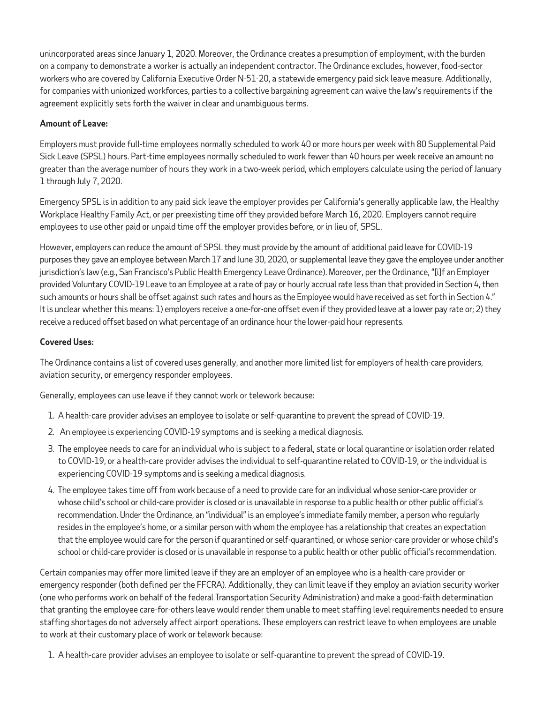unincorporated areas since January 1, 2020. Moreover, the Ordinance creates a presumption of employment, with the burden on a company to demonstrate a worker is actually an independent contractor. The Ordinance excludes, however, food-sector workers who are covered by California Executive Order N-51-20, a statewide emergency paid sick leave measure. Additionally, for companies with unionized workforces, parties to a collective bargaining agreement can waive the law's requirements if the agreement explicitly sets forth the waiver in clear and unambiguous terms.

#### **Amount of Leave:**

Employers must provide full-time employees normally scheduled to work 40 or more hours per week with 80 Supplemental Paid Sick Leave (SPSL) hours. Part-time employees normally scheduled to work fewer than 40 hours per week receive an amount no greater than the average number of hours they work in a two-week period, which employers calculate using the period of January 1 through July 7, 2020.

Emergency SPSL is in addition to any paid sick leave the employer provides per California's generally applicable law, the Healthy Workplace Healthy Family Act, or per preexisting time off they provided before March 16, 2020. Employers cannot require employees to use other paid or unpaid time off the employer provides before, or in lieu of, SPSL.

However, employers can reduce the amount of SPSL they must provide by the amount of additional paid leave for COVID-19 purposes they gave an employee between March 17 and June 30, 2020, or supplemental leave they gave the employee under another jurisdiction's law (e.g., San Francisco's Public Health Emergency Leave Ordinance). Moreover, per the Ordinance, "[i]f an Employer provided Voluntary COVID-19 Leave to an Employee at a rate of pay or hourly accrual rate less than that provided in Section 4, then such amounts or hours shall be offset against such rates and hours as the Employee would have received as set forth in Section 4." It is unclear whether this means: 1) employers receive a one-for-one offset even if they provided leave at a lower pay rate or; 2) they receive a reduced offset based on what percentage of an ordinance hour the lower-paid hour represents.

#### **Covered Uses:**

The Ordinance contains a list of covered uses generally, and another more limited list for employers of health-care providers, aviation security, or emergency responder employees.

Generally, employees can use leave if they cannot work or telework because:

- 1. A health-care provider advises an employee to isolate or self-quarantine to prevent the spread of COVID-19.
- 2. An employee is experiencing COVID-19 symptoms and is seeking a medical diagnosis.
- 3. The employee needs to care for an individual who is subject to a federal, state or local quarantine or isolation order related to COVID-19, or a health-care provider advises the individual to self-quarantine related to COVID-19, or the individual is experiencing COVID-19 symptoms and is seeking a medical diagnosis.
- 4. The employee takes time off from work because of a need to provide care for an individual whose senior-care provider or whose child's school or child-care provider is closed or is unavailable in response to a public health or other public official's recommendation. Under the Ordinance, an "individual" is an employee's immediate family member, a person who regularly resides in the employee's home, or a similar person with whom the employee has a relationship that creates an expectation that the employee would care for the person if quarantined or self-quarantined, or whose senior-care provider or whose child's school or child-care provider is closed or is unavailable in response to a public health or other public official's recommendation.

Certain companies may offer more limited leave if they are an employer of an employee who is a health-care provider or emergency responder (both defined per the FFCRA). Additionally, they can limit leave if they employ an aviation security worker (one who performs work on behalf of the federal Transportation Security Administration) and make a good-faith determination that granting the employee care-for-others leave would render them unable to meet staffing level requirements needed to ensure staffing shortages do not adversely affect airport operations. These employers can restrict leave to when employees are unable to work at their customary place of work or telework because:

1. A health-care provider advises an employee to isolate or self-quarantine to prevent the spread of COVID-19.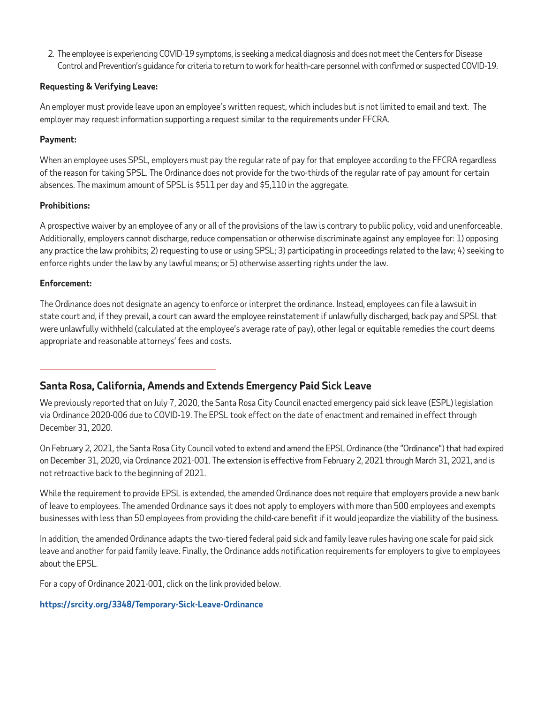2. The employee is experiencing COVID-19 symptoms, is seeking a medical diagnosis and does not meet the Centers for Disease Control and Prevention's guidance for criteria to return to work for health-care personnel with confirmed or suspected COVID-19.

#### **Requesting & Verifying Leave:**

An employer must provide leave upon an employee's written request, which includes but is not limited to email and text. The employer may request information supporting a request similar to the requirements under FFCRA.

#### **Payment:**

When an employee uses SPSL, employers must pay the regular rate of pay for that employee according to the FFCRA regardless of the reason for taking SPSL. The Ordinance does not provide for the two-thirds of the regular rate of pay amount for certain absences. The maximum amount of SPSL is \$511 per day and \$5,110 in the aggregate.

#### **Prohibitions:**

A prospective waiver by an employee of any or all of the provisions of the law is contrary to public policy, void and unenforceable. Additionally, employers cannot discharge, reduce compensation or otherwise discriminate against any employee for: 1) opposing any practice the law prohibits; 2) requesting to use or using SPSL; 3) participating in proceedings related to the law; 4) seeking to enforce rights under the law by any lawful means; or 5) otherwise asserting rights under the law.

#### **Enforcement:**

The Ordinance does not designate an agency to enforce or interpret the ordinance. Instead, employees can file a lawsuit in state court and, if they prevail, a court can award the employee reinstatement if unlawfully discharged, back pay and SPSL that were unlawfully withheld (calculated at the employee's average rate of pay), other legal or equitable remedies the court deems appropriate and reasonable attorneys' fees and costs.

# **Santa Rosa, California, Amends and Extends Emergency Paid Sick Leave**

We previously reported that on July 7, 2020, the Santa Rosa City Council enacted emergency paid sick leave (ESPL) legislation via Ordinance 2020-006 due to COVID-19. The EPSL took effect on the date of enactment and remained in effect through December 31, 2020.

On February 2, 2021, the Santa Rosa City Council voted to extend and amend the EPSL Ordinance (the "Ordinance") that had expired on December 31, 2020, via Ordinance 2021-001. The extension is effective from February 2, 2021 through March 31, 2021, and is not retroactive back to the beginning of 2021.

While the requirement to provide EPSL is extended, the amended Ordinance does not require that employers provide a new bank of leave to employees. The amended Ordinance says it does not apply to employers with more than 500 employees and exempts businesses with less than 50 employees from providing the child-care benefit if it would jeopardize the viability of the business.

In addition, the amended Ordinance adapts the two-tiered federal paid sick and family leave rules having one scale for paid sick leave and another for paid family leave. Finally, the Ordinance adds notification requirements for employers to give to employees about the EPSL.

For a copy of Ordinance 2021-001, click on the link provided below.

**<https://srcity.org/3348/Temporary-Sick-Leave-Ordinance>**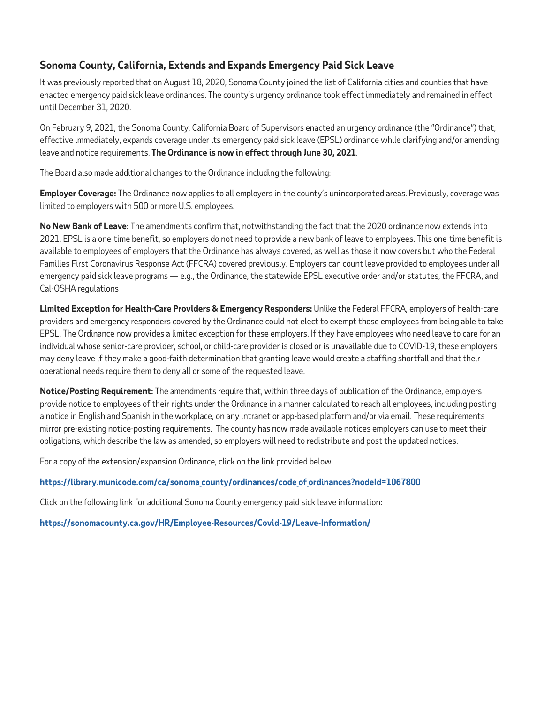# **Sonoma County, California, Extends and Expands Emergency Paid Sick Leave**

It was previously reported that on August 18, 2020, Sonoma County joined the list of California cities and counties that have enacted emergency paid sick leave ordinances. The county's urgency ordinance took effect immediately and remained in effect until December 31, 2020.

On February 9, 2021, the Sonoma County, California Board of Supervisors enacted an urgency ordinance (the "Ordinance") that, effective immediately, expands coverage under its emergency paid sick leave (EPSL) ordinance while clarifying and/or amending leave and notice requirements. **The Ordinance is now in effect through June 30, 2021**.

The Board also made additional changes to the Ordinance including the following:

**Employer Coverage:** The Ordinance now applies to all employers in the county's unincorporated areas. Previously, coverage was limited to employers with 500 or more U.S. employees.

**No New Bank of Leave:** The amendments confirm that, notwithstanding the fact that the 2020 ordinance now extends into 2021, EPSL is a one-time benefit, so employers do not need to provide a new bank of leave to employees. This one-time benefit is available to employees of employers that the Ordinance has always covered, as well as those it now covers but who the Federal Families First Coronavirus Response Act (FFCRA) covered previously. Employers can count leave provided to employees under all emergency paid sick leave programs — e.g., the Ordinance, the statewide EPSL executive order and/or statutes, the FFCRA, and Cal-OSHA regulations

**Limited Exception for Health-Care Providers & Emergency Responders:** Unlike the Federal FFCRA, employers of health-care providers and emergency responders covered by the Ordinance could not elect to exempt those employees from being able to take EPSL. The Ordinance now provides a limited exception for these employers. If they have employees who need leave to care for an individual whose senior-care provider, school, or child-care provider is closed or is unavailable due to COVID-19, these employers may deny leave if they make a good-faith determination that granting leave would create a staffing shortfall and that their operational needs require them to deny all or some of the requested leave.

**Notice/Posting Requirement:** The amendments require that, within three days of publication of the Ordinance, employers provide notice to employees of their rights under the Ordinance in a manner calculated to reach all employees, including posting a notice in English and Spanish in the workplace, on any intranet or app-based platform and/or via email. These requirements mirror pre-existing notice-posting requirements. The county has now made available notices employers can use to meet their obligations, which describe the law as amended, so employers will need to redistribute and post the updated notices.

For a copy of the extension/expansion Ordinance, click on the link provided below.

**[https://library.municode.com/ca/sonoma\\_county/ordinances/code\\_of\\_ordinances?nodeId=1067800](https://library.municode.com/ca/sonoma_county/ordinances/code_of_ordinances?nodeId=1067800)**

Click on the following link for additional Sonoma County emergency paid sick leave information:

**<https://sonomacounty.ca.gov/HR/Employee-Resources/Covid-19/Leave-Information/>**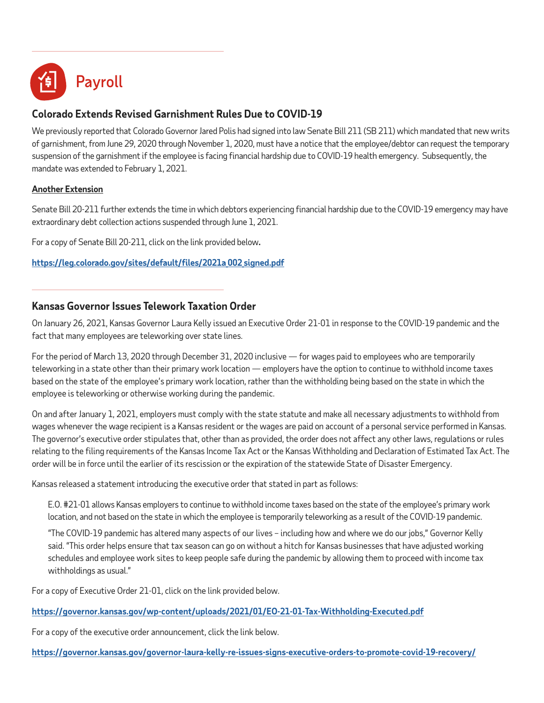

# **Colorado Extends Revised Garnishment Rules Due to COVID-19**

We previously reported that Colorado Governor Jared Polis had signed into law Senate Bill 211 (SB 211) which mandated that new writs of garnishment, from June 29, 2020 through November 1, 2020, must have a notice that the employee/debtor can request the temporary suspension of the garnishment if the employee is facing financial hardship due to COVID-19 health emergency. Subsequently, the mandate was extended to February 1, 2021.

#### **Another Extension**

Senate Bill 20-211 further extends the time in which debtors experiencing financial hardship due to the COVID-19 emergency may have extraordinary debt collection actions suspended through June 1, 2021.

For a copy of Senate Bill 20-211, click on the link provided below**.** 

**[https://leg.colorado.gov/sites/default/files/2021a\\_002\\_signed.pdf](https://leg.colorado.gov/sites/default/files/2021a_002_signed.pdf)**

# **Kansas Governor Issues Telework Taxation Order**

On January 26, 2021, Kansas Governor Laura Kelly issued an Executive Order 21-01 in response to the COVID-19 pandemic and the fact that many employees are teleworking over state lines.

For the period of March 13, 2020 through December 31, 2020 inclusive — for wages paid to employees who are temporarily teleworking in a state other than their primary work location — employers have the option to continue to withhold income taxes based on the state of the employee's primary work location, rather than the withholding being based on the state in which the employee is teleworking or otherwise working during the pandemic.

On and after January 1, 2021, employers must comply with the state statute and make all necessary adjustments to withhold from wages whenever the wage recipient is a Kansas resident or the wages are paid on account of a personal service performed in Kansas. The governor's executive order stipulates that, other than as provided, the order does not affect any other laws, regulations or rules relating to the filing requirements of the Kansas Income Tax Act or the Kansas Withholding and Declaration of Estimated Tax Act. The order will be in force until the earlier of its rescission or the expiration of the statewide State of Disaster Emergency.

Kansas released a statement introducing the executive order that stated in part as follows:

E.O. #21-01 allows Kansas employers to continue to withhold income taxes based on the state of the employee's primary work location, and not based on the state in which the employee is temporarily teleworking as a result of the COVID-19 pandemic.

"The COVID-19 pandemic has altered many aspects of our lives – including how and where we do our jobs," Governor Kelly said. "This order helps ensure that tax season can go on without a hitch for Kansas businesses that have adjusted working schedules and employee work sites to keep people safe during the pandemic by allowing them to proceed with income tax withholdings as usual."

For a copy of Executive Order 21-01, click on the link provided below.

**<https://governor.kansas.gov/wp-content/uploads/2021/01/EO-21-01-Tax-Withholding-Executed.pdf>**

For a copy of the executive order announcement, click the link below.

**[https://governor.kansas.gov/governor-laura-kelly-re-issues-signs-executive-orders-to-promote-covid-19-recovery/](https://governor.kansas.gov/governor-laura-kelly-re-issues-signs-executive-orders-to-promote-covid-1)**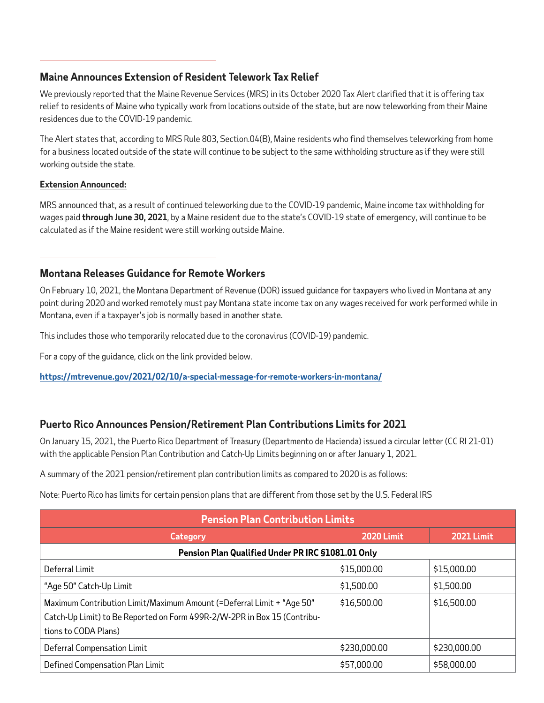# **Maine Announces Extension of Resident Telework Tax Relief**

We previously reported that the Maine Revenue Services (MRS) in its October 2020 Tax Alert clarified that it is offering tax relief to residents of Maine who typically work from locations outside of the state, but are now teleworking from their Maine residences due to the COVID-19 pandemic.

The Alert states that, according to MRS Rule 803, Section.04(B), Maine residents who find themselves teleworking from home for a business located outside of the state will continue to be subject to the same withholding structure as if they were still working outside the state.

#### **Extension Announced:**

MRS announced that, as a result of continued teleworking due to the COVID-19 pandemic, Maine income tax withholding for wages paid **through June 30, 2021**, by a Maine resident due to the state's COVID-19 state of emergency, will continue to be calculated as if the Maine resident were still working outside Maine.

# **Montana Releases Guidance for Remote Workers**

On February 10, 2021, the Montana Department of Revenue (DOR) issued guidance for taxpayers who lived in Montana at any point during 2020 and worked remotely must pay Montana state income tax on any wages received for work performed while in Montana, even if a taxpayer's job is normally based in another state.

This includes those who temporarily relocated due to the coronavirus (COVID-19) pandemic.

For a copy of the guidance, click on the link provided below.

**<https://mtrevenue.gov/2021/02/10/a-special-message-for-remote-workers-in-montana/>**

# **Puerto Rico Announces Pension/Retirement Plan Contributions Limits for 2021**

On January 15, 2021, the Puerto Rico Department of Treasury (Departmento de Hacienda) issued a circular letter (CC RI 21-01) with the applicable Pension Plan Contribution and Catch-Up Limits beginning on or after January 1, 2021.

A summary of the 2021 pension/retirement plan contribution limits as compared to 2020 is as follows:

Note: Puerto Rico has limits for certain pension plans that are different from those set by the U.S. Federal IRS

| <b>Pension Plan Contribution Limits</b>                                                                                                                                   |                   |                   |  |
|---------------------------------------------------------------------------------------------------------------------------------------------------------------------------|-------------------|-------------------|--|
| Category                                                                                                                                                                  | <b>2020 Limit</b> | <b>2021 Limit</b> |  |
| Pension Plan Qualified Under PR IRC §1081.01 Only                                                                                                                         |                   |                   |  |
| Deferral Limit                                                                                                                                                            | \$15,000.00       | \$15,000.00       |  |
| "Age 50" Catch-Up Limit                                                                                                                                                   | \$1,500.00        | \$1,500.00        |  |
| Maximum Contribution Limit/Maximum Amount (=Deferral Limit + "Age 50"<br>Catch-Up Limit) to Be Reported on Form 499R-2/W-2PR in Box 15 (Contribu-<br>tions to CODA Plans) | \$16,500.00       | \$16,500.00       |  |
| Deferral Compensation Limit                                                                                                                                               | \$230,000.00      | \$230,000.00      |  |
| Defined Compensation Plan Limit                                                                                                                                           | \$57,000.00       | \$58,000.00       |  |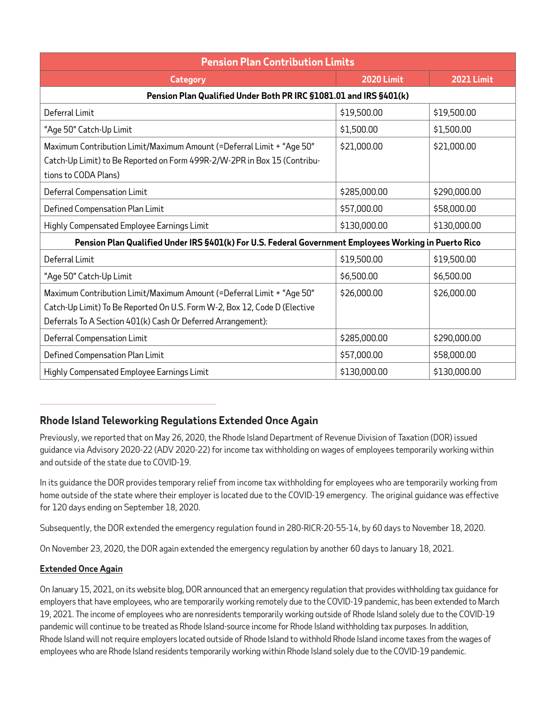| <b>Pension Plan Contribution Limits</b>                                                                                                                                                                            |                   |                   |  |
|--------------------------------------------------------------------------------------------------------------------------------------------------------------------------------------------------------------------|-------------------|-------------------|--|
| Category                                                                                                                                                                                                           | <b>2020 Limit</b> | <b>2021 Limit</b> |  |
| Pension Plan Qualified Under Both PR IRC §1081.01 and IRS §401(k)                                                                                                                                                  |                   |                   |  |
| Deferral Limit                                                                                                                                                                                                     | \$19,500.00       | \$19,500.00       |  |
| "Age 50" Catch-Up Limit                                                                                                                                                                                            | \$1,500.00        | \$1,500.00        |  |
| Maximum Contribution Limit/Maximum Amount (=Deferral Limit + "Age 50"<br>Catch-Up Limit) to Be Reported on Form 499R-2/W-2PR in Box 15 (Contribu-<br>tions to CODA Plans)                                          | \$21,000.00       | \$21,000.00       |  |
| Deferral Compensation Limit                                                                                                                                                                                        | \$285,000.00      | \$290,000.00      |  |
| Defined Compensation Plan Limit                                                                                                                                                                                    | \$57,000.00       | \$58,000.00       |  |
| Highly Compensated Employee Earnings Limit                                                                                                                                                                         | \$130,000.00      | \$130,000.00      |  |
| Pension Plan Qualified Under IRS §401(k) For U.S. Federal Government Employees Working in Puerto Rico                                                                                                              |                   |                   |  |
| Deferral Limit                                                                                                                                                                                                     | \$19,500.00       | \$19,500.00       |  |
| "Age 50" Catch-Up Limit                                                                                                                                                                                            | \$6,500.00        | \$6,500.00        |  |
| Maximum Contribution Limit/Maximum Amount (=Deferral Limit + "Age 50"<br>Catch-Up Limit) To Be Reported On U.S. Form W-2, Box 12, Code D (Elective<br>Deferrals To A Section 401(k) Cash Or Deferred Arrangement): | \$26,000.00       | \$26,000.00       |  |
| Deferral Compensation Limit                                                                                                                                                                                        | \$285,000.00      | \$290,000.00      |  |
| Defined Compensation Plan Limit                                                                                                                                                                                    | \$57,000.00       | \$58,000.00       |  |
| Highly Compensated Employee Earnings Limit                                                                                                                                                                         | \$130,000.00      | \$130,000.00      |  |

# **Rhode Island Teleworking Regulations Extended Once Again**

Previously, we reported that on May 26, 2020, the Rhode Island Department of Revenue Division of Taxation (DOR) issued guidance via Advisory 2020-22 (ADV 2020-22) for income tax withholding on wages of employees temporarily working within and outside of the state due to COVID-19.

In its guidance the DOR provides temporary relief from income tax withholding for employees who are temporarily working from home outside of the state where their employer is located due to the COVID-19 emergency. The original guidance was effective for 120 days ending on September 18, 2020.

Subsequently, the DOR extended the emergency regulation found in 280-RICR-20-55-14, by 60 days to November 18, 2020.

On November 23, 2020, the DOR again extended the emergency regulation by another 60 days to January 18, 2021.

#### **Extended Once Again**

On January 15, 2021, on its website blog, DOR announced that an emergency regulation that provides withholding tax guidance for employers that have employees, who are temporarily working remotely due to the COVID-19 pandemic, has been extended to March 19, 2021. The income of employees who are nonresidents temporarily working outside of Rhode Island solely due to the COVID-19 pandemic will continue to be treated as Rhode Island-source income for Rhode Island withholding tax purposes. In addition, Rhode Island will not require employers located outside of Rhode Island to withhold Rhode Island income taxes from the wages of employees who are Rhode Island residents temporarily working within Rhode Island solely due to the COVID-19 pandemic.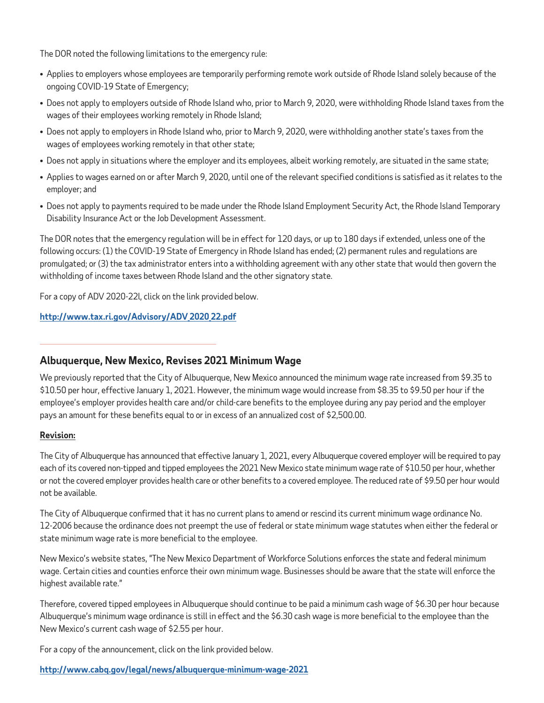The DOR noted the following limitations to the emergency rule:

- Applies to employers whose employees are temporarily performing remote work outside of Rhode Island solely because of the ongoing COVID-19 State of Emergency;
- Does not apply to employers outside of Rhode Island who, prior to March 9, 2020, were withholding Rhode Island taxes from the wages of their employees working remotely in Rhode Island;
- Does not apply to employers in Rhode Island who, prior to March 9, 2020, were withholding another state's taxes from the wages of employees working remotely in that other state;
- Does not apply in situations where the employer and its employees, albeit working remotely, are situated in the same state;
- Applies to wages earned on or after March 9, 2020, until one of the relevant specified conditions is satisfied as it relates to the employer; and
- Does not apply to payments required to be made under the Rhode Island Employment Security Act, the Rhode Island Temporary Disability Insurance Act or the Job Development Assessment.

The DOR notes that the emergency regulation will be in effect for 120 days, or up to 180 days if extended, unless one of the following occurs: (1) the COVID-19 State of Emergency in Rhode Island has ended; (2) permanent rules and regulations are promulgated; or (3) the tax administrator enters into a withholding agreement with any other state that would then govern the withholding of income taxes between Rhode Island and the other signatory state.

For a copy of ADV 2020-22l, click on the link provided below.

#### **[http://www.tax.ri.gov/Advisory/ADV\\_2020\\_22.pdf](http://www.tax.ri.gov/Advisory/ADV_2020_22.pdf)**

**Albuquerque, New Mexico, Revises 2021 Minimum Wage** 

We previously reported that the City of Albuquerque, New Mexico announced the minimum wage rate increased from \$9.35 to \$10.50 per hour, effective January 1, 2021. However, the minimum wage would increase from \$8.35 to \$9.50 per hour if the employee's employer provides health care and/or child-care benefits to the employee during any pay period and the employer pays an amount for these benefits equal to or in excess of an annualized cost of \$2,500.00.

#### **Revision:**

The City of Albuquerque has announced that effective January 1, 2021, every Albuquerque covered employer will be required to pay each of its covered non-tipped and tipped employees the 2021 New Mexico state minimum wage rate of \$10.50 per hour, whether or not the covered employer provides health care or other benefits to a covered employee. The reduced rate of \$9.50 per hour would not be available.

The City of Albuquerque confirmed that it has no current plans to amend or rescind its current minimum wage ordinance No. 12-2006 because the ordinance does not preempt the use of federal or state minimum wage statutes when either the federal or state minimum wage rate is more beneficial to the employee.

New Mexico's website states, "The New Mexico Department of Workforce Solutions enforces the state and federal minimum wage. Certain cities and counties enforce their own minimum wage. Businesses should be aware that the state will enforce the highest available rate."

Therefore, covered tipped employees in Albuquerque should continue to be paid a minimum cash wage of \$6.30 per hour because Albuquerque's minimum wage ordinance is still in effect and the \$6.30 cash wage is more beneficial to the employee than the New Mexico's current cash wage of \$2.55 per hour.

For a copy of the announcement, click on the link provided below.

#### **<http://www.cabq.gov/legal/news/albuquerque-minimum-wage-2021>**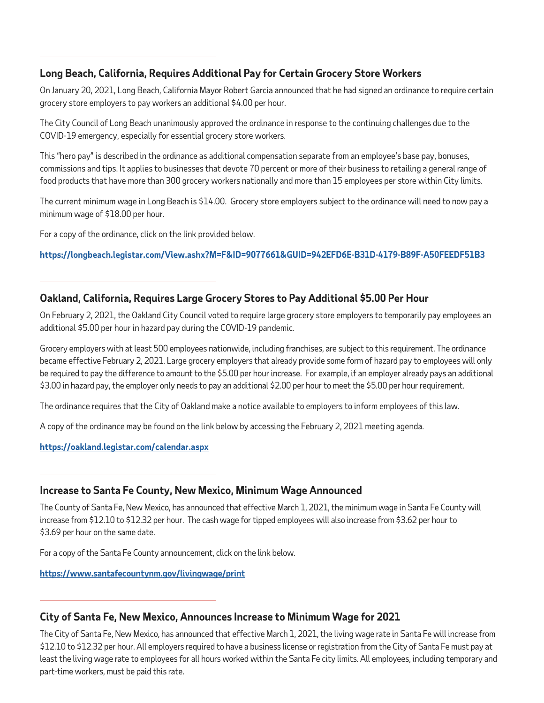# **Long Beach, California, Requires Additional Pay for Certain Grocery Store Workers**

On January 20, 2021, Long Beach, California Mayor Robert Garcia announced that he had signed an ordinance to require certain grocery store employers to pay workers an additional \$4.00 per hour.

The City Council of Long Beach unanimously approved the ordinance in response to the continuing challenges due to the COVID-19 emergency, especially for essential grocery store workers.

This "hero pay" is described in the ordinance as additional compensation separate from an employee's base pay, bonuses, commissions and tips. It applies to businesses that devote 70 percent or more of their business to retailing a general range of food products that have more than 300 grocery workers nationally and more than 15 employees per store within City limits.

The current minimum wage in Long Beach is \$14.00. Grocery store employers subject to the ordinance will need to now pay a minimum wage of \$18.00 per hour.

For a copy of the ordinance, click on the link provided below.

**<https://longbeach.legistar.com/View.ashx?M=F&ID=9077661&GUID=942EFD6E-B31D-4179-B89F-A50FEEDF51B3>**

# **Oakland, California, Requires Large Grocery Stores to Pay Additional \$5.00 Per Hour**

On February 2, 2021, the Oakland City Council voted to require large grocery store employers to temporarily pay employees an additional \$5.00 per hour in hazard pay during the COVID-19 pandemic.

Grocery employers with at least 500 employees nationwide, including franchises, are subject to this requirement. The ordinance became effective February 2, 2021. Large grocery employers that already provide some form of hazard pay to employees will only be required to pay the difference to amount to the \$5.00 per hour increase. For example, if an employer already pays an additional \$3.00 in hazard pay, the employer only needs to pay an additional \$2.00 per hour to meet the \$5.00 per hour requirement.

The ordinance requires that the City of Oakland make a notice available to employers to inform employees of this law.

A copy of the ordinance may be found on the link below by accessing the February 2, 2021 meeting agenda.

#### **<https://oakland.legistar.com/calendar.aspx>**

# **Increase to Santa Fe County, New Mexico, Minimum Wage Announced**

The County of Santa Fe, New Mexico, has announced that effective March 1, 2021, the minimum wage in Santa Fe County will increase from \$12.10 to \$12.32 per hour. The cash wage for tipped employees will also increase from \$3.62 per hour to \$3.69 per hour on the same date.

For a copy of the Santa Fe County announcement, click on the link below.

#### **<https://www.santafecountynm.gov/livingwage/print>**

# **City of Santa Fe, New Mexico, Announces Increase to Minimum Wage for 2021**

The City of Santa Fe, New Mexico, has announced that effective March 1, 2021, the living wage rate in Santa Fe will increase from \$12.10 to \$12.32 per hour. All employers required to have a business license or registration from the City of Santa Fe must pay at least the living wage rate to employees for all hours worked within the Santa Fe city limits. All employees, including temporary and part-time workers, must be paid this rate.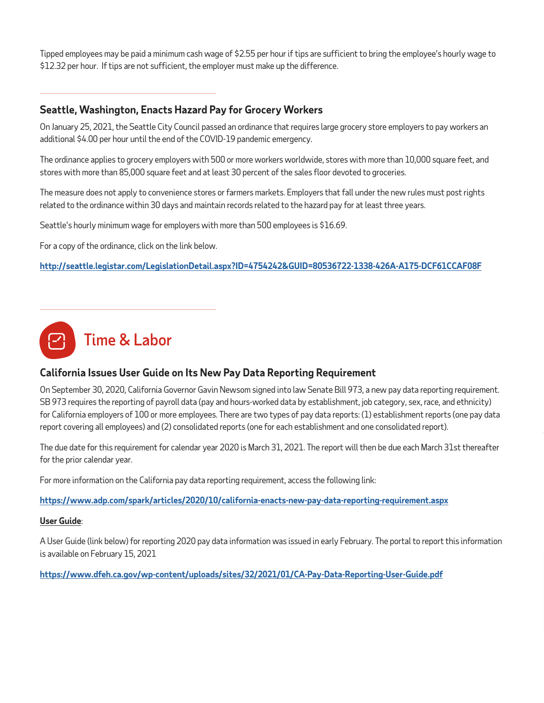Tipped employees may be paid a minimum cash wage of \$2.55 per hour if tips are sufficient to bring the employee's hourly wage to \$12.32 per hour. If tips are not sufficient, the employer must make up the difference.

# **Seattle, Washington, Enacts Hazard Pay for Grocery Workers**

On January 25, 2021, the Seattle City Council passed an ordinance that requires large grocery store employers to pay workers an additional \$4.00 per hour until the end of the COVID-19 pandemic emergency.

The ordinance applies to grocery employers with 500 or more workers worldwide, stores with more than 10,000 square feet, and stores with more than 85,000 square feet and at least 30 percent of the sales floor devoted to groceries.

The measure does not apply to convenience stores or farmers markets. Employers that fall under the new rules must post rights related to the ordinance within 30 days and maintain records related to the hazard pay for at least three years.

Seattle's hourly minimum wage for employers with more than 500 employees is \$16.69.

For a copy of the ordinance, click on the link below.

**<http://seattle.legistar.com/LegislationDetail.aspx?ID=4754242&GUID=80536722-1338-426A-A175-DCF61CCAF08F>**



# **California Issues User Guide on Its New Pay Data Reporting Requirement**

On September 30, 2020, California Governor Gavin Newsom signed into law Senate Bill 973, a new pay data reporting requirement. SB 973 requires the reporting of payroll data (pay and hours-worked data by establishment, job category, sex, race, and ethnicity) for California employers of 100 or more employees. There are two types of pay data reports: (1) establishment reports (one pay data report covering all employees) and (2) consolidated reports (one for each establishment and one consolidated report).

The due date for this requirement for calendar year 2020 is March 31, 2021. The report will then be due each March 31st thereafter for the prior calendar year.

For more information on the California pay data reporting requirement, access the following link:

**<https://www.adp.com/spark/articles/2020/10/california-enacts-new-pay-data-reporting-requirement.aspx>**

#### **User Guide**:

A User Guide (link below) for reporting 2020 pay data information was issued in early February. The portal to report this information is available on February 15, 2021

**<https://www.dfeh.ca.gov/wp-content/uploads/sites/32/2021/01/CA-Pay-Data-Reporting-User-Guide.pdf>**